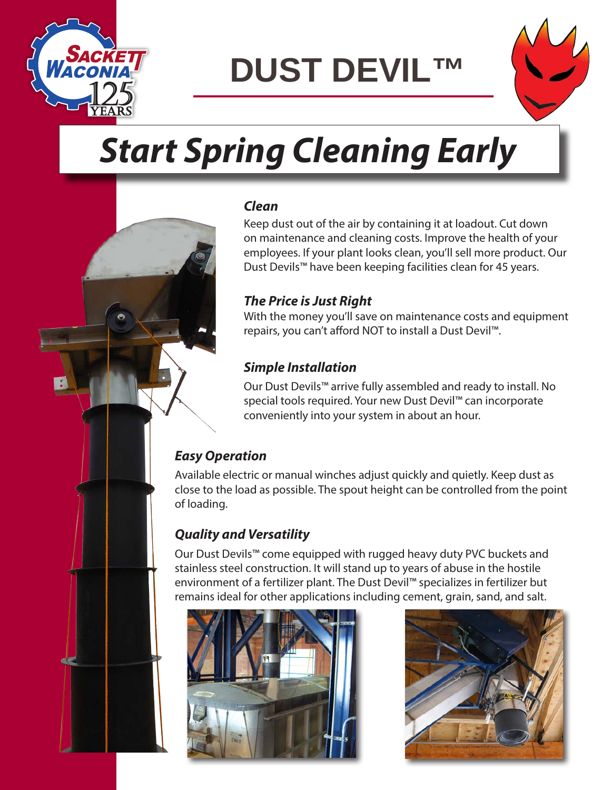

**DUST DEVIL™**



# *Start Spring Cleaning Early*

#### *Clean*

Keep dust out of the air by containing it at loadout. Cut down on maintenance and cleaning costs. Improve the health of your employees. If your plant looks clean, you'll sell more product. Our Dust Devils™ have been keeping facilities clean for 45 years.

#### *The Price is Just Right*

With the money you'll save on maintenance costs and equipment repairs, you can't afford NOT to install a Dust Devil™.

#### *Simple Installation*

Our Dust Devils™ arrive fully assembled and ready to install. No special tools required. Your new Dust Devil™ can incorporate conveniently into your system in about an hour.

#### *Easy Operation*

Available electric or manual winches adjust quickly and quietly. Keep dust as close to the load as possible. The spout height can be controlled from the point of loading.

#### *Quality and Versatility*

Our Dust Devils™ come equipped with rugged heavy duty PVC buckets and stainless steel construction. It will stand up to years of abuse in the hostile environment of a fertilizer plant. The Dust Devil™ specializes in fertilizer but remains ideal for other applications including cement, grain, sand, and salt.